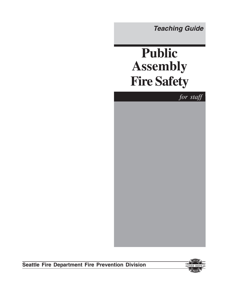**Teaching Guide**

# **Public Assembly Fire Safety**

*for staff*

**Seattle Fire Department Fire Prevention Division**

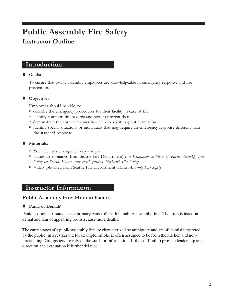# **Public Assembly Fire Safety Instructor Outline**

# **Introduction**

#### **Goals:**

To ensure that public assembly employees are knowledgeable in emergency response and fire prevention.

#### **Objectives:**

Employees should be able to:

- à describe the emergency procedures for their facility in case of fire.
- à identify common fire hazards and how to prevent them.
- à demonstrate the correct manner in which to assist in guest evacuation.
- à identify special situations or individuals that may require an emergency response different than the standard response.

#### **Materials:**

- <sup> $\Box$ </sup> Your facility's emergency response plan
- à Handouts (obtained from Seattle Fire Department) *Fire Evacuation in Places of Public Assembly, Fire Safety for Special Events, Fire Extinguishers, Nightclub Fire Safety*
- à Video (obtained from Seattle Fire Department) *Public Assembly Fire Safety*

# **Instructor Information**

#### **Public Assembly Fire: Human Factors**

#### **Panic or Denial?**

Panic is often attributed as the primary cause of death in public assembly fires. The truth is inaction, denial and fear of appearing foolish cause more deaths.

The early stages of a public assembly fire are characterized by ambiguity and are often misinterpreted by the public. In a restaurant, for example, smoke is often assumed to be from the kitchen and nonthreatening. Groups tend to rely on the staff for information. If the staff fail to provide leadership and direction, the evacuation is further delayed.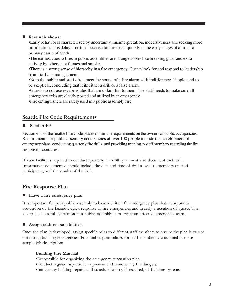#### ■ Research shows:

•Early behavior is characterized by uncertainty, misinterpretation, indecisiveness and seeking more information. This delay is critical because failure to act quickly in the early stages of a fire is a primary cause of death.

•The earliest cues to fires in public assemblies are strange noises like breaking glass and extra activity by others, not flames and smoke.

•There is a strong sense of hierarchy in a fire emergency. Guests look for and respond to leadership from staff and management.

•Both the public and staff often meet the sound of a fire alarm with indifference. People tend to be skeptical, concluding that it its either a drill or a false alarm.

•Guests do not use escape routes that are unfamiliar to them. The staff needs to make sure all emergency exits are clearly posted and utilized in an emergency.

•Fire extinguishers are rarely used in a public assembly fire.

# **Seattle Fire Code Requirements**

#### **Section 403**

Section 403 of the Seattle Fire Code places minimum requirements on the owners of public occupancies. Requirements for public assembly occupancies of over 100 people include the development of emergency plans, conducting quarterly fire drills, and providing training to staff members regarding the fire response procedures.

If your facility is required to conduct quarterly fire drills you must also document each drill. Information documented should include the date and time of drill as well as members of staff participating and the results of the drill.

## **Fire Response Plan**

#### **Have a fire emergency plan.**

It is important for your public assembly to have a written fire emergency plan that incorporates prevention of fire hazards, quick response to fire emergencies and orderly evacuation of guests. The key to a successful evacuation in a public assembly is to create an effective emergency team.

#### **Assign staff responsibilities.**

Once the plan is developed, assign specific roles to different staff members to ensure the plan is carried out during building emergencies. Potential responsibilities for staff members are outlined in these sample job descriptions.

#### **Building Fire Marshal**

•Responsible for organizing the emergency evacuation plan.

- •Conduct regular inspections to prevent and remove any fire dangers.
- •Initiate any building repairs and schedule testing, if required, of building systems.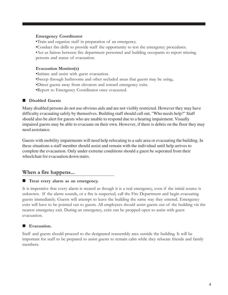#### **Emergency Coordinator**

•Train and organize staff in preparation of an emergency.

•Conduct fire drills to provide staff the opportunity to test the emergency procedures.

•Act as liaison between fire department personnel and building occupants to report missing persons and status of evacuation.

#### **Evacuation Monitor(s)**

•Initiate and assist with guest evacaution.

•Sweep through bathrooms and other secluded areas that guests may be using..

•Direct guests away from elevators and toward emergency exits.

•Report to Emergency Coordinator once evacauted.

#### **Disabled Guests**

Many disabled persons do not use obvious aids and are not visibly restricted. However they may have difficulty evacuating safely by themselves. Building staff should call out, "Who needs help?" Staff should also be alert for guests who are unable to respond due to a hearing impairment. Visually impaired guests may be able to evacuate on their own. However, if there is debris on the floor they may need assistance.

Guests with mobility impairments will need help relocating to a safe area or evacuating the building. In these situations a staff member should assist and remain with the individual until help arrives to complete the evacaution. Only under extreme conditions should a guest be seperated from their wheelchair for evacuation down stairs.

#### **When a fire happens...**

#### **Treat every alarm as an emergency.**

It is imperative that every alarm is treated as though it is a real emergency, even if the initial source is unknown. If the alarm sounds, or a fire is suspected, call the Fire Department and begin evacuating guests immediately. Guests will attempt to leave the building the same way they entered. Emergency exits will have to be pointed out to guests. All employees should assist guests out of the building via the nearest emergency exit. During an emergency, exits can be propped open to assist with guest evacuation.

#### **Evacuation.**

Staff and guests should proceed to the designated reassembly area outside the building. It will be important for staff to be prepared to assist guests to remain calm while they relocate friends and family members.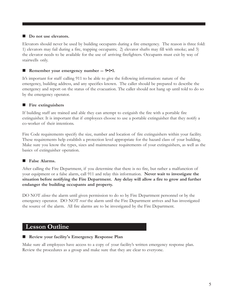#### **Do not use elevators.**

Elevators should never be used by building occupants during a fire emergency. The reason is three fold: 1) elevators may fail during a fire, trapping occupants; 2) elevator shafts may fill with smoke; and 3) the elevator needs to be available for the use of arriving firefighters. Occupants must exit by way of stairwells only.

#### ■ Remember your emergency number -- 9•1•1.

It's important for staff calling 911 to be able to give the following information: nature of the emergency, building address, and any specifics known. The caller should be prepared to describe the emergency and report on the status of the evacuation. The caller should not hang up until told to do so by the emergency operator.

#### **Fire extinguishers**

If building staff are trained and able they can attempt to extiguish the fire with a portable fire extinguisher. It is important that if employees choose to use a portable extinguisher that they notify a co-worker of their intentions.

Fire Code requirements specify the size, number and location of fire extinguishers within your facility. These requirements help establish a protection level appropriate for the hazard class of your building. Make sure you know the types, sizes and maintenance requirements of your extinguishers, as well as the basics of extinguisher operation.

#### **False Alarms.**

After calling the Fire Department, if you determine that there is no fire, but rather a malfunction of your equipment or a false alarm, call 911 and relay this information. **Never wait to investigate the situation before notifying the Fire Department. Any delay will allow a fire to grow and further endanger the building occupants and property.**

DO NOT *silence* the alarm until given permission to do so by Fire Department personnel or by the emergency operator. DO NOT *reset* the alarm until the Fire Department arrives and has investigated the source of the alarm. All fire alarms are to be investigated by the Fire Department.

# **Lesson Outline**

#### ■ Review your facility's Emergency Response Plan

Make sure all employees have access to a copy of your facility's written emergency response plan. Review the procedures as a group and make sure that they are clear to everyone.